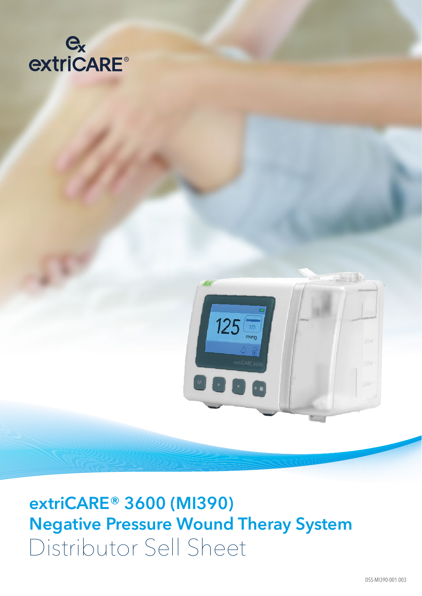



**extriCARE® 3600 (MI390) Negative Pressure Wound Theray System** Distributor Sell Sheet